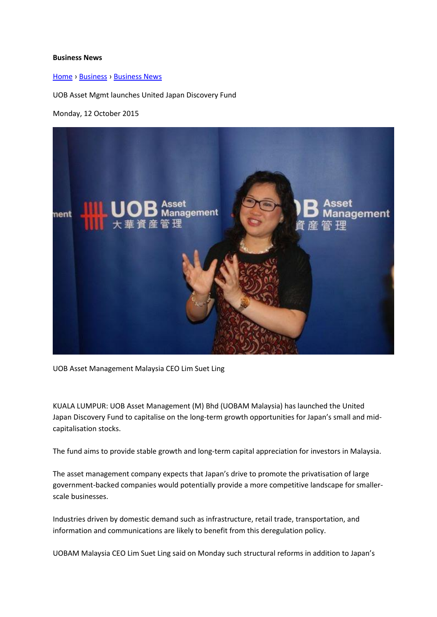## **Business News**

[Home](http://www.thestar.com.my/) › [Business](http://www.thestar.com.my/Business) › [Business News](http://www.thestar.com.my/Business/Business-News)

UOB Asset Mgmt launches United Japan Discovery Fund

Monday, 12 October 2015



UOB Asset Management Malaysia CEO Lim Suet Ling

KUALA LUMPUR: UOB Asset Management (M) Bhd (UOBAM Malaysia) has launched the United Japan Discovery Fund to capitalise on the long-term growth opportunities for Japan's small and midcapitalisation stocks.

The fund aims to provide stable growth and long-term capital appreciation for investors in Malaysia.

The asset management company expects that Japan's drive to promote the privatisation of large government-backed companies would potentially provide a more competitive landscape for smallerscale businesses.

Industries driven by domestic demand such as infrastructure, retail trade, transportation, and information and communications are likely to benefit from this deregulation policy.

UOBAM Malaysia CEO Lim Suet Ling said on Monday such structural reforms in addition to Japan's